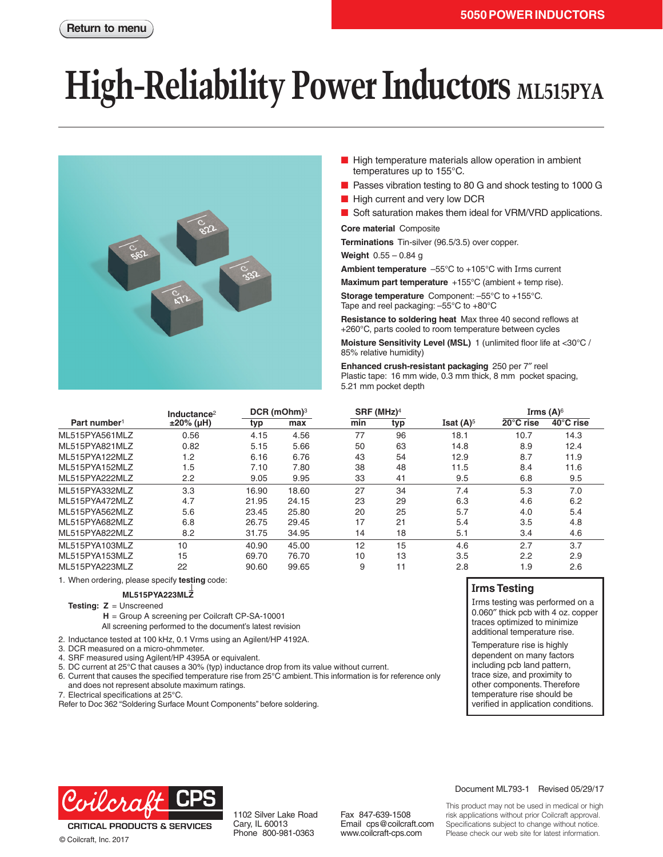# **High-Reliability Power Inductors ML515PYA**



- High temperature materials allow operation in ambient temperatures up to 155°C.
- Passes vibration testing to 80 G and shock testing to 1000 G
- High current and very low DCR
- Soft saturation makes them ideal for VRM/VRD applications.

**Core material** Composite

**Terminations** Tin-silver (96.5/3.5) over copper.

**Weight** 0.55 – 0.84 g

**Ambient temperature** –55°C to +105°C with Irms current

**Maximum part temperature** +155°C (ambient + temp rise).

**Storage temperature** Component: –55°C to +155°C. Tape and reel packaging: –55°C to +80°C

**Resistance to soldering heat** Max three 40 second reflows at +260°C, parts cooled to room temperature between cycles

**Moisture Sensitivity Level (MSL)** 1 (unlimited floor life at <30°C / 85% relative humidity)

**Enhanced crush-resistant packaging** 250 per 7″ reel Plastic tape: 16 mm wide, 0.3 mm thick, 8 mm pocket spacing, 5.21 mm pocket depth

|                          | Inductance <sup>2</sup> | DCR (mOhm) <sup>3</sup> |       | SRF (MHz) <sup>4</sup> |     |              | Irms $(A)$ <sup>6</sup> |           |
|--------------------------|-------------------------|-------------------------|-------|------------------------|-----|--------------|-------------------------|-----------|
| Part number <sup>1</sup> | $±20\%$ (µH)            | typ                     | max   | min                    | typ | Isat $(A)^5$ | $20^{\circ}$ C rise     | 40°C rise |
| ML515PYA561MLZ           | 0.56                    | 4.15                    | 4.56  | 77                     | 96  | 18.1         | 10.7                    | 14.3      |
| ML515PYA821MLZ           | 0.82                    | 5.15                    | 5.66  | 50                     | 63  | 14.8         | 8.9                     | 12.4      |
| ML515PYA122MLZ           | 1.2                     | 6.16                    | 6.76  | 43                     | 54  | 12.9         | 8.7                     | 11.9      |
| ML515PYA152MLZ           | 1.5                     | 7.10                    | 7.80  | 38                     | 48  | 11.5         | 8.4                     | 11.6      |
| ML515PYA222MLZ           | 2.2                     | 9.05                    | 9.95  | 33                     | 41  | 9.5          | 6.8                     | 9.5       |
| ML515PYA332MLZ           | 3.3                     | 16.90                   | 18.60 | 27                     | 34  | 7.4          | 5.3                     | 7.0       |
| ML515PYA472MLZ           | 4.7                     | 21.95                   | 24.15 | 23                     | 29  | 6.3          | 4.6                     | 6.2       |
| ML515PYA562MLZ           | 5.6                     | 23.45                   | 25.80 | 20                     | 25  | 5.7          | 4.0                     | 5.4       |
| ML515PYA682MLZ           | 6.8                     | 26.75                   | 29.45 | 17                     | 21  | 5.4          | 3.5                     | 4.8       |
| ML515PYA822MLZ           | 8.2                     | 31.75                   | 34.95 | 14                     | 18  | 5.1          | 3.4                     | 4.6       |
| ML515PYA103MLZ           | 10                      | 40.90                   | 45.00 | 12                     | 15  | 4.6          | 2.7                     | 3.7       |
| ML515PYA153MLZ           | 15                      | 69.70                   | 76.70 | 10                     | 13  | 3.5          | 2.2                     | 2.9       |
| ML515PYA223MLZ           | 22                      | 90.60                   | 99.65 | 9                      | 11  | 2.8          | 1.9                     | 2.6       |

1. When ordering, please specify **testing** code:

**ML515PYA223MLZ**

**Testing: Z** = Unscreened

**H** = Group A screening per Coilcraft CP-SA-10001

All screening performed to the document's latest revision

2. Inductance tested at 100 kHz, 0.1 Vrms using an Agilent/HP 4192A.

- 3. DCR measured on a micro-ohmmeter.
- 4. SRF measured using Agilent/HP 4395A or equivalent.
- 5. DC current at 25°C that causes a 30% (typ) inductance drop from its value without current.
- 6. Current that causes the specified temperature rise from 25°C ambient. This information is for reference only and does not represent absolute maximum ratings.
- 7. Electrical specifications at 25°C.

Refer to Doc 362 "Soldering Surface Mount Components" before soldering.

#### **Irms Testing**

Irms testing was performed on a 0.060″ thick pcb with 4 oz. copper traces optimized to minimize additional temperature rise.

Temperature rise is highly dependent on many factors including pcb land pattern, trace size, and proximity to other components. Therefore temperature rise should be verified in application conditions.



**CRITICAL PRODUCTS & SERVICES** © Coilcraft, Inc. 2017

1102 Silver Lake Road Cary, IL 60013 Phone 800-981-0363

Fax 847-639-1508 Email cps@coilcraft.com www.coilcraft-cps.com

#### Document ML793-1 Revised 05/29/17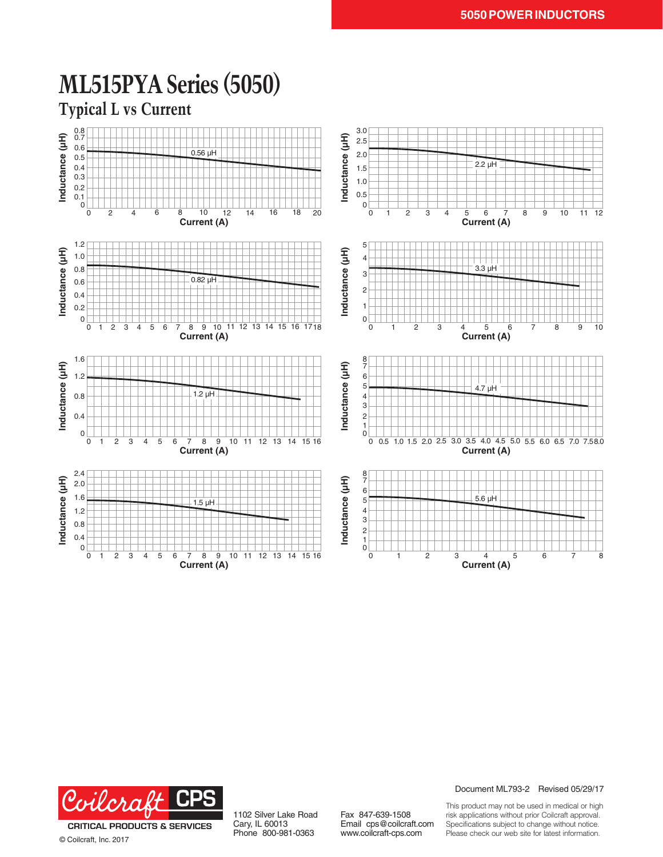

## **ML515PYA Series (5050)**



© Coilcraft, Inc. 2017

1102 Silver Lake Road Cary, IL 60013 Phone 800-981-0363

Fax 847-639-1508 Email cps@coilcraft.com www.coilcraft-cps.com

Document ML793-2 Revised 05/29/17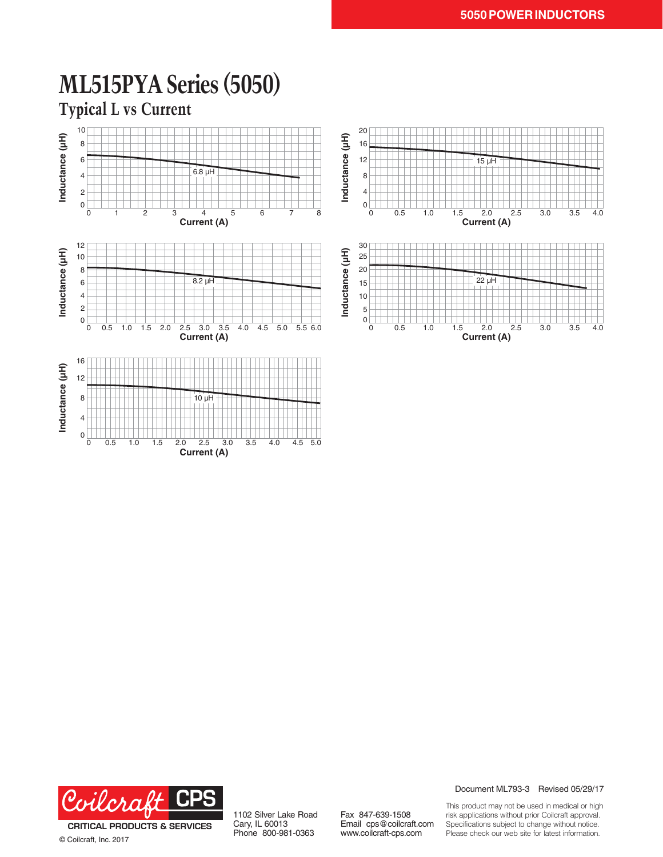

### **ML515PYA Series (5050)**

**Current (A)**

**Typical L vs Current**



© Coilcraft, Inc. 2017

1102 Silver Lake Road Cary, IL 60013 Phone 800-981-0363

Fax 847-639-1508 Email cps@coilcraft.com www.coilcraft-cps.com

Document ML793-3 Revised 05/29/17